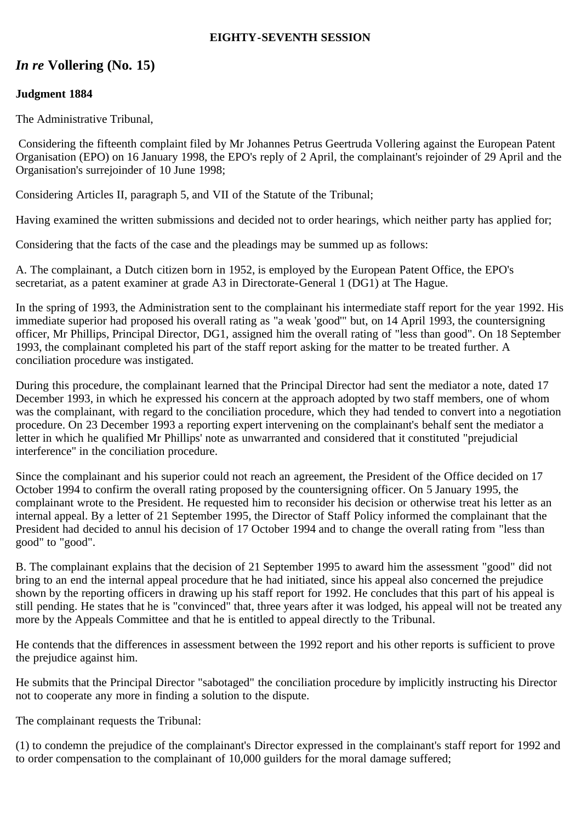#### **EIGHTY-SEVENTH SESSION**

# *In re* **Vollering (No. 15)**

## **Judgment 1884**

The Administrative Tribunal,

 Considering the fifteenth complaint filed by Mr Johannes Petrus Geertruda Vollering against the European Patent Organisation (EPO) on 16 January 1998, the EPO's reply of 2 April, the complainant's rejoinder of 29 April and the Organisation's surrejoinder of 10 June 1998;

Considering Articles II, paragraph 5, and VII of the Statute of the Tribunal;

Having examined the written submissions and decided not to order hearings, which neither party has applied for;

Considering that the facts of the case and the pleadings may be summed up as follows:

A. The complainant, a Dutch citizen born in 1952, is employed by the European Patent Office, the EPO's secretariat, as a patent examiner at grade A3 in Directorate-General 1 (DG1) at The Hague.

In the spring of 1993, the Administration sent to the complainant his intermediate staff report for the year 1992. His immediate superior had proposed his overall rating as "a weak 'good'" but, on 14 April 1993, the countersigning officer, Mr Phillips, Principal Director, DG1, assigned him the overall rating of "less than good". On 18 September 1993, the complainant completed his part of the staff report asking for the matter to be treated further. A conciliation procedure was instigated.

During this procedure, the complainant learned that the Principal Director had sent the mediator a note, dated 17 December 1993, in which he expressed his concern at the approach adopted by two staff members, one of whom was the complainant, with regard to the conciliation procedure, which they had tended to convert into a negotiation procedure. On 23 December 1993 a reporting expert intervening on the complainant's behalf sent the mediator a letter in which he qualified Mr Phillips' note as unwarranted and considered that it constituted "prejudicial interference" in the conciliation procedure.

Since the complainant and his superior could not reach an agreement, the President of the Office decided on 17 October 1994 to confirm the overall rating proposed by the countersigning officer. On 5 January 1995, the complainant wrote to the President. He requested him to reconsider his decision or otherwise treat his letter as an internal appeal. By a letter of 21 September 1995, the Director of Staff Policy informed the complainant that the President had decided to annul his decision of 17 October 1994 and to change the overall rating from "less than good" to "good".

B. The complainant explains that the decision of 21 September 1995 to award him the assessment "good" did not bring to an end the internal appeal procedure that he had initiated, since his appeal also concerned the prejudice shown by the reporting officers in drawing up his staff report for 1992. He concludes that this part of his appeal is still pending. He states that he is "convinced" that, three years after it was lodged, his appeal will not be treated any more by the Appeals Committee and that he is entitled to appeal directly to the Tribunal.

He contends that the differences in assessment between the 1992 report and his other reports is sufficient to prove the prejudice against him.

He submits that the Principal Director "sabotaged" the conciliation procedure by implicitly instructing his Director not to cooperate any more in finding a solution to the dispute.

The complainant requests the Tribunal:

(1) to condemn the prejudice of the complainant's Director expressed in the complainant's staff report for 1992 and to order compensation to the complainant of 10,000 guilders for the moral damage suffered;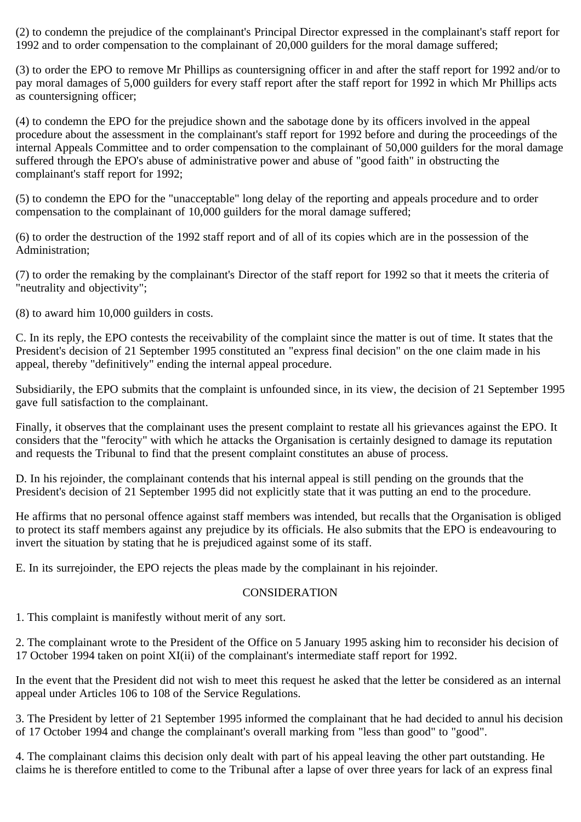(2) to condemn the prejudice of the complainant's Principal Director expressed in the complainant's staff report for 1992 and to order compensation to the complainant of 20,000 guilders for the moral damage suffered;

(3) to order the EPO to remove Mr Phillips as countersigning officer in and after the staff report for 1992 and/or to pay moral damages of 5,000 guilders for every staff report after the staff report for 1992 in which Mr Phillips acts as countersigning officer;

(4) to condemn the EPO for the prejudice shown and the sabotage done by its officers involved in the appeal procedure about the assessment in the complainant's staff report for 1992 before and during the proceedings of the internal Appeals Committee and to order compensation to the complainant of 50,000 guilders for the moral damage suffered through the EPO's abuse of administrative power and abuse of "good faith" in obstructing the complainant's staff report for 1992;

(5) to condemn the EPO for the "unacceptable" long delay of the reporting and appeals procedure and to order compensation to the complainant of 10,000 guilders for the moral damage suffered;

(6) to order the destruction of the 1992 staff report and of all of its copies which are in the possession of the Administration;

(7) to order the remaking by the complainant's Director of the staff report for 1992 so that it meets the criteria of "neutrality and objectivity";

(8) to award him 10,000 guilders in costs.

C. In its reply, the EPO contests the receivability of the complaint since the matter is out of time. It states that the President's decision of 21 September 1995 constituted an "express final decision" on the one claim made in his appeal, thereby "definitively" ending the internal appeal procedure.

Subsidiarily, the EPO submits that the complaint is unfounded since, in its view, the decision of 21 September 1995 gave full satisfaction to the complainant.

Finally, it observes that the complainant uses the present complaint to restate all his grievances against the EPO. It considers that the "ferocity" with which he attacks the Organisation is certainly designed to damage its reputation and requests the Tribunal to find that the present complaint constitutes an abuse of process.

D. In his rejoinder, the complainant contends that his internal appeal is still pending on the grounds that the President's decision of 21 September 1995 did not explicitly state that it was putting an end to the procedure.

He affirms that no personal offence against staff members was intended, but recalls that the Organisation is obliged to protect its staff members against any prejudice by its officials. He also submits that the EPO is endeavouring to invert the situation by stating that he is prejudiced against some of its staff.

E. In its surrejoinder, the EPO rejects the pleas made by the complainant in his rejoinder.

#### **CONSIDERATION**

1. This complaint is manifestly without merit of any sort.

2. The complainant wrote to the President of the Office on 5 January 1995 asking him to reconsider his decision of 17 October 1994 taken on point XI(ii) of the complainant's intermediate staff report for 1992.

In the event that the President did not wish to meet this request he asked that the letter be considered as an internal appeal under Articles 106 to 108 of the Service Regulations.

3. The President by letter of 21 September 1995 informed the complainant that he had decided to annul his decision of 17 October 1994 and change the complainant's overall marking from "less than good" to "good".

4. The complainant claims this decision only dealt with part of his appeal leaving the other part outstanding. He claims he is therefore entitled to come to the Tribunal after a lapse of over three years for lack of an express final